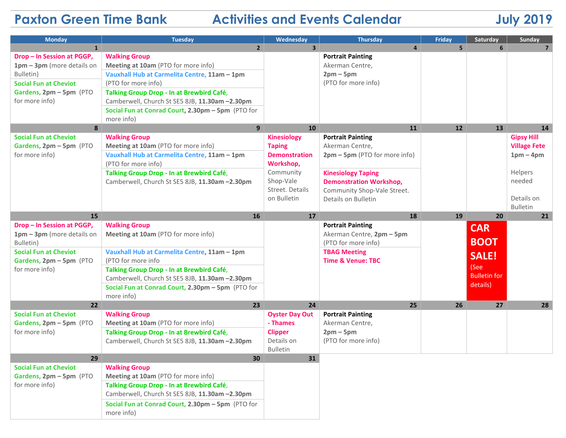## **Paxton Green Time Bank Activities and Events Calendar July 2019**

| <b>Monday</b>                                                             | <b>Tuesday</b>                                                                              | Wednesday                         | <b>Thursday</b>                             | Friday         | Saturday            | Sunday                |
|---------------------------------------------------------------------------|---------------------------------------------------------------------------------------------|-----------------------------------|---------------------------------------------|----------------|---------------------|-----------------------|
| $\mathbf{1}$                                                              | $2^{\circ}$                                                                                 | $\overline{\mathbf{3}}$           | $\overline{a}$                              | 5 <sup>1</sup> | 6                   | $\overline{7}$        |
| Drop - In Session at PGGP,                                                | <b>Walking Group</b>                                                                        |                                   | <b>Portrait Painting</b>                    |                |                     |                       |
| $1pm - 3pm$ (more details on                                              | Meeting at 10am (PTO for more info)                                                         |                                   | Akerman Centre,                             |                |                     |                       |
| Bulletin)                                                                 | Vauxhall Hub at Carmelita Centre, 11am - 1pm                                                |                                   | $2pm-5pm$                                   |                |                     |                       |
| <b>Social Fun at Cheviot</b>                                              | (PTO for more info)                                                                         |                                   | (PTO for more info)                         |                |                     |                       |
| Gardens, 2pm - 5pm (PTO<br>for more info)                                 | Talking Group Drop - In at Brewbird Café,<br>Camberwell, Church St SE5 8JB, 11.30am -2.30pm |                                   |                                             |                |                     |                       |
|                                                                           | Social Fun at Conrad Court, 2.30pm - 5pm (PTO for                                           |                                   |                                             |                |                     |                       |
|                                                                           | more info)                                                                                  |                                   |                                             |                |                     |                       |
| 8                                                                         | 9                                                                                           | 10                                | 11                                          | 12             | <b>13</b>           | 14                    |
| <b>Social Fun at Cheviot</b>                                              | <b>Walking Group</b>                                                                        | <b>Kinesiology</b>                | <b>Portrait Painting</b>                    |                |                     | <b>Gipsy Hill</b>     |
| Gardens, 2pm - 5pm (PTO<br>for more info)                                 | Meeting at 10am (PTO for more info)                                                         | <b>Taping</b>                     | Akerman Centre,                             |                |                     | <b>Village Fete</b>   |
|                                                                           | Vauxhall Hub at Carmelita Centre, 11am - 1pm                                                | <b>Demonstration</b>              | 2pm - 5pm (PTO for more info)               |                |                     | $1pm-4pm$             |
|                                                                           | (PTO for more info)                                                                         | Workshop,                         |                                             |                |                     |                       |
|                                                                           | Talking Group Drop - In at Brewbird Café,                                                   | Community                         | <b>Kinesiology Taping</b>                   |                |                     | Helpers               |
|                                                                           | Camberwell, Church St SE5 8JB, 11.30am -2.30pm                                              | Shop-Vale                         | <b>Demonstration Workshop,</b>              |                |                     | needed                |
|                                                                           |                                                                                             | Street. Details                   | Community Shop-Vale Street.                 |                |                     |                       |
|                                                                           |                                                                                             | on Bulletin                       | Details on Bulletin                         |                |                     | Details on            |
| 15                                                                        | 16                                                                                          | 17                                | 18                                          | 19             | 20                  | <b>Bulletin</b><br>21 |
| Drop - In Session at PGGP,                                                | <b>Walking Group</b>                                                                        |                                   | <b>Portrait Painting</b>                    |                |                     |                       |
| $1pm - 3pm$ (more details on                                              | Meeting at 10am (PTO for more info)                                                         |                                   | Akerman Centre, 2pm - 5pm                   |                | <b>CAR</b>          |                       |
| Bulletin)                                                                 |                                                                                             |                                   | (PTO for more info)                         |                | <b>BOOT</b>         |                       |
| <b>Social Fun at Cheviot</b>                                              | Vauxhall Hub at Carmelita Centre, 11am - 1pm                                                |                                   | <b>TBAG Meeting</b>                         |                |                     |                       |
| Gardens, 2pm - 5pm (PTO                                                   | (PTO for more info                                                                          |                                   | <b>Time &amp; Venue: TBC</b>                |                | <b>SALE!</b>        |                       |
| for more info)                                                            | Talking Group Drop - In at Brewbird Café,                                                   |                                   |                                             |                | (See                |                       |
|                                                                           | Camberwell, Church St SE5 8JB, 11.30am -2.30pm                                              |                                   |                                             |                | <b>Bulletin for</b> |                       |
|                                                                           | Social Fun at Conrad Court, 2.30pm - 5pm (PTO for                                           |                                   |                                             |                | details)            |                       |
|                                                                           | more info)                                                                                  |                                   |                                             |                |                     |                       |
| 22                                                                        | 23                                                                                          | 24                                | 25                                          | 26             | 27                  | 28                    |
| <b>Social Fun at Cheviot</b><br>Gardens, 2pm - 5pm (PTO<br>for more info) | <b>Walking Group</b><br>Meeting at 10am (PTO for more info)                                 | <b>Oyster Day Out</b><br>- Thames | <b>Portrait Painting</b><br>Akerman Centre, |                |                     |                       |
|                                                                           | Talking Group Drop - In at Brewbird Café,                                                   | <b>Clipper</b>                    | $2pm-5pm$                                   |                |                     |                       |
|                                                                           | Camberwell, Church St SE5 8JB, 11.30am -2.30pm                                              | Details on                        | (PTO for more info)                         |                |                     |                       |
|                                                                           |                                                                                             | <b>Bulletin</b>                   |                                             |                |                     |                       |
| 29                                                                        | 30                                                                                          | 31                                |                                             |                |                     |                       |
| <b>Social Fun at Cheviot</b>                                              | <b>Walking Group</b>                                                                        |                                   |                                             |                |                     |                       |
| Gardens, 2pm - 5pm (PTO                                                   | Meeting at 10am (PTO for more info)                                                         |                                   |                                             |                |                     |                       |
| for more info)                                                            | Talking Group Drop - In at Brewbird Café,                                                   |                                   |                                             |                |                     |                       |
|                                                                           | Camberwell, Church St SE5 8JB, 11.30am -2.30pm                                              |                                   |                                             |                |                     |                       |
|                                                                           | Social Fun at Conrad Court, 2.30pm - 5pm (PTO for                                           |                                   |                                             |                |                     |                       |
|                                                                           | more info)                                                                                  |                                   |                                             |                |                     |                       |